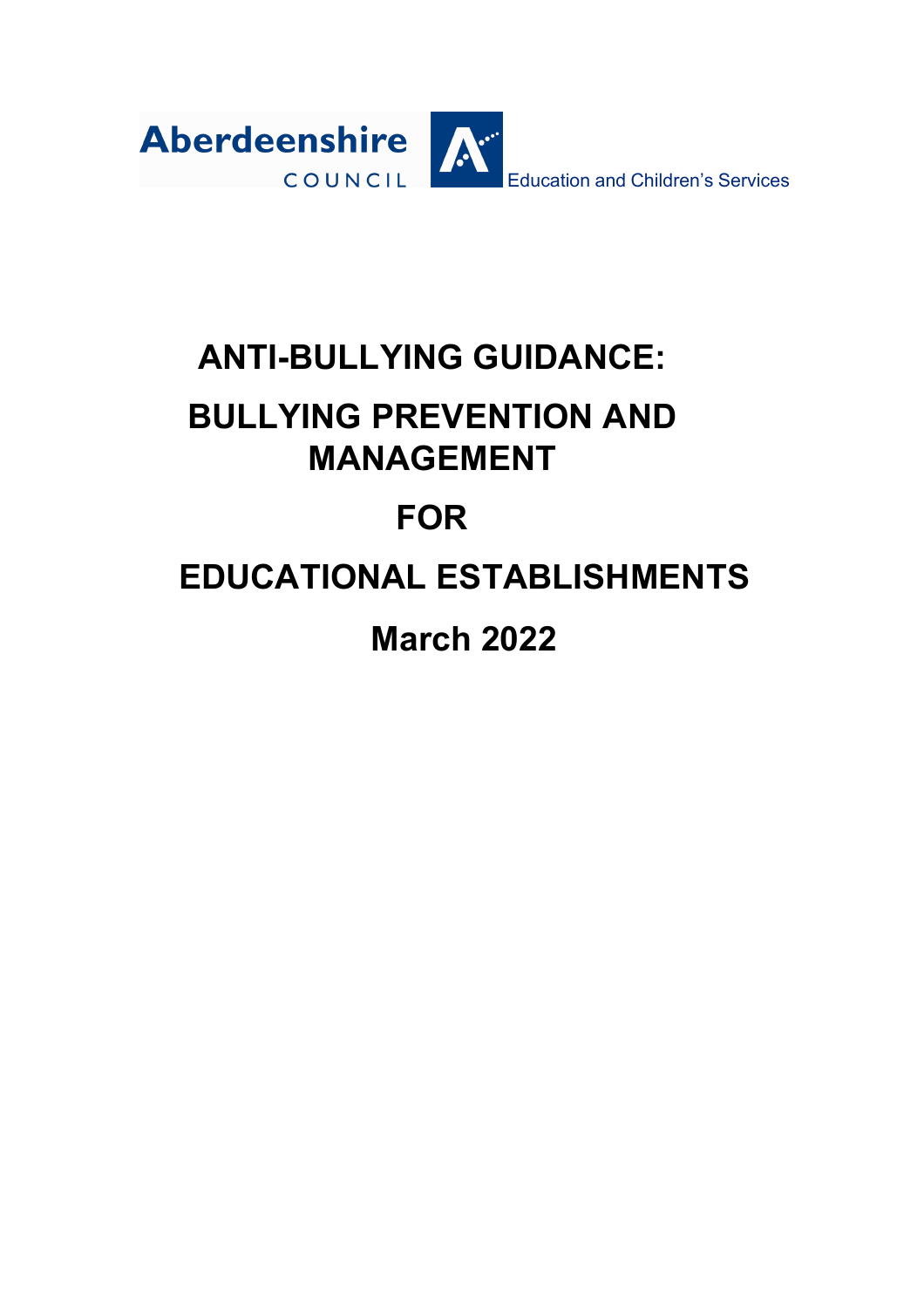

## **ANTI-BULLYING GUIDANCE:**

## **BULLYING PREVENTION AND MANAGEMENT**

# **FOR**

# **EDUCATIONAL ESTABLISHMENTS**

**March 2022**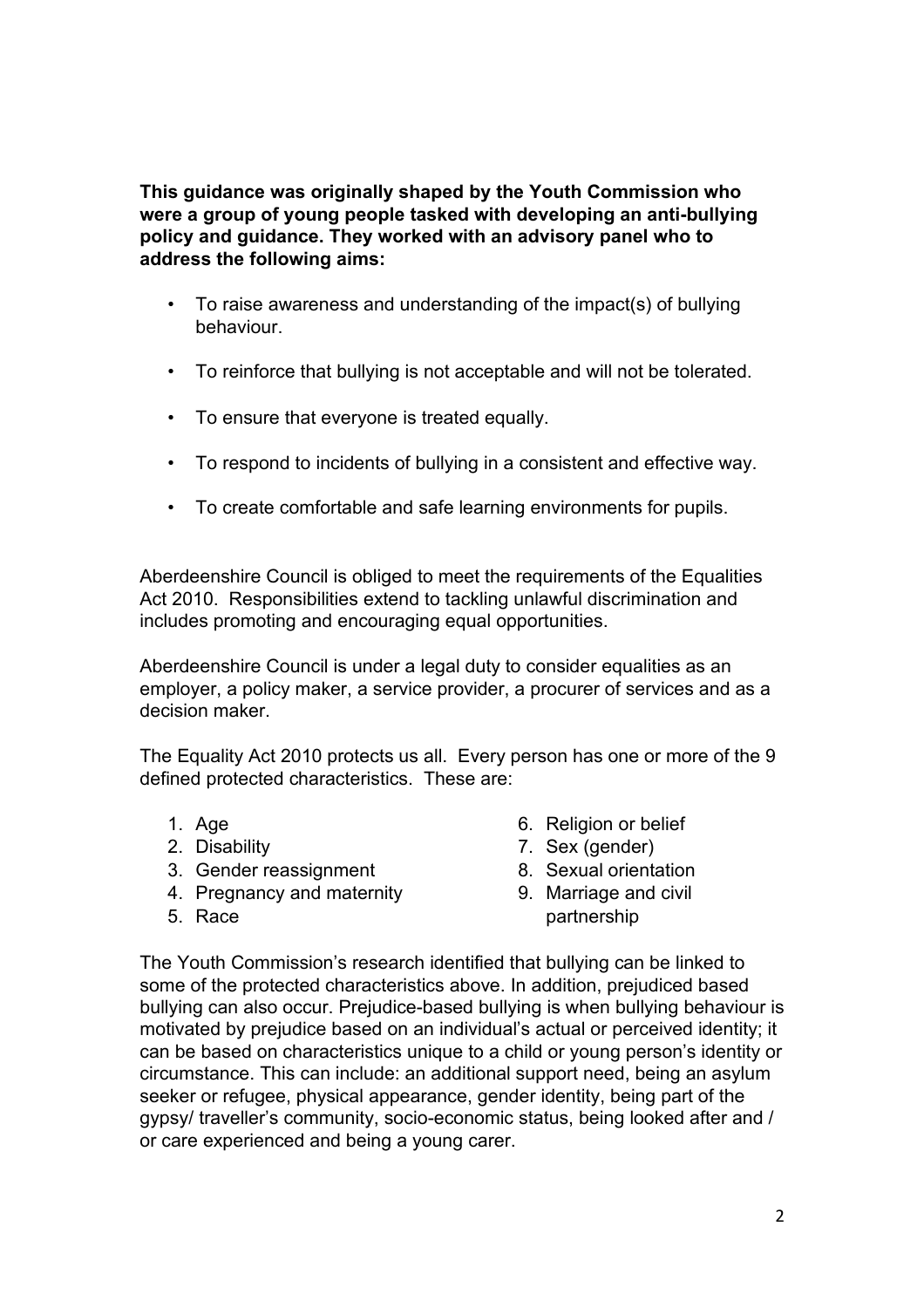**This guidance was originally shaped by the Youth Commission who were a group of young people tasked with developing an anti-bullying policy and guidance. They worked with an advisory panel who to address the following aims:**

- To raise awareness and understanding of the impact(s) of bullying behaviour.
- To reinforce that bullying is not acceptable and will not be tolerated.
- To ensure that everyone is treated equally.
- To respond to incidents of bullying in a consistent and effective way.
- To create comfortable and safe learning environments for pupils.

Aberdeenshire Council is obliged to meet the requirements of the Equalities Act 2010. Responsibilities extend to tackling unlawful discrimination and includes promoting and encouraging equal opportunities.

Aberdeenshire Council is under a legal duty to consider equalities as an employer, a policy maker, a service provider, a procurer of services and as a decision maker.

The Equality Act 2010 protects us all. Every person has one or more of the 9 defined protected characteristics. These are:

- 1. Age
- 2. Disability
- 3. Gender reassignment
- 4. Pregnancy and maternity
- 5. Race
- 6. Religion or belief
- 7. Sex (gender)
- 8. Sexual orientation
- 9. Marriage and civil
- partnership

The Youth Commission's research identified that bullying can be linked to some of the protected characteristics above. In addition, prejudiced based bullying can also occur. Prejudice-based bullying is when bullying behaviour is motivated by prejudice based on an individual's actual or perceived identity; it can be based on characteristics unique to a child or young person's identity or circumstance. This can include: an additional support need, being an asylum seeker or refugee, physical appearance, gender identity, being part of the gypsy/ traveller's community, socio-economic status, being looked after and / or care experienced and being a young carer.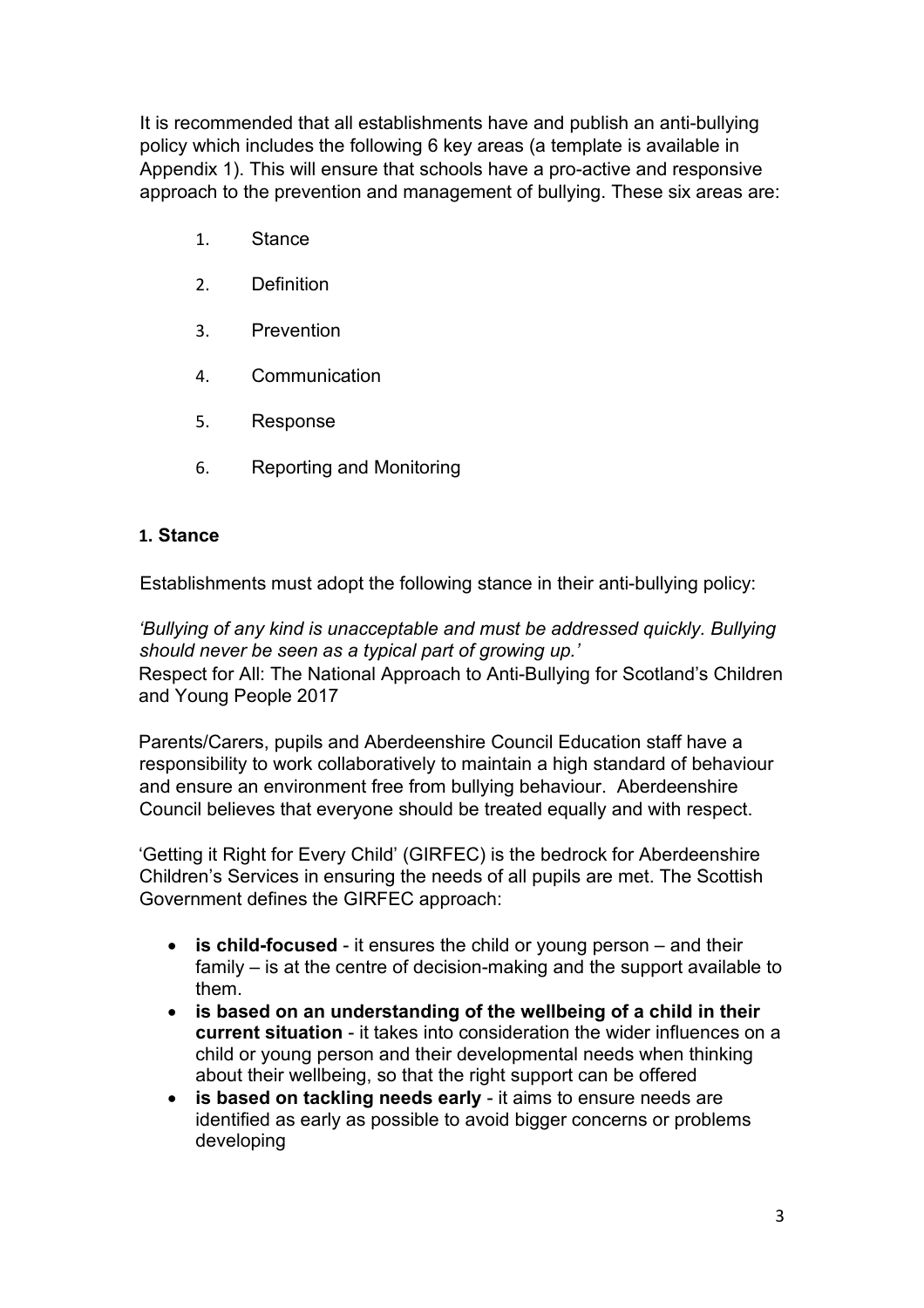It is recommended that all establishments have and publish an anti-bullying policy which includes the following 6 key areas (a template is available in Appendix 1). This will ensure that schools have a pro-active and responsive approach to the prevention and management of bullying. These six areas are:

- 1. Stance
- 2. Definition
- 3. Prevention
- 4. Communication
- 5. Response
- 6. Reporting and Monitoring

#### **1. Stance**

Establishments must adopt the following stance in their anti-bullying policy:

*'Bullying of any kind is unacceptable and must be addressed quickly. Bullying should never be seen as a typical part of growing up.'* Respect for All: The National Approach to Anti-Bullying for Scotland's Children and Young People 2017

Parents/Carers, pupils and Aberdeenshire Council Education staff have a responsibility to work collaboratively to maintain a high standard of behaviour and ensure an environment free from bullying behaviour. Aberdeenshire Council believes that everyone should be treated equally and with respect.

'Getting it Right for Every Child' (GIRFEC) is the bedrock for Aberdeenshire Children's Services in ensuring the needs of all pupils are met. The Scottish Government defines the GIRFEC approach:

- **is child-focused** it ensures the child or young person and their family – is at the centre of decision-making and the support available to them.
- **is based on an understanding of the wellbeing of a child in their current situation** - it takes into consideration the wider influences on a child or young person and their developmental needs when thinking about their wellbeing, so that the right support can be offered
- **is based on tackling needs early** it aims to ensure needs are identified as early as possible to avoid bigger concerns or problems developing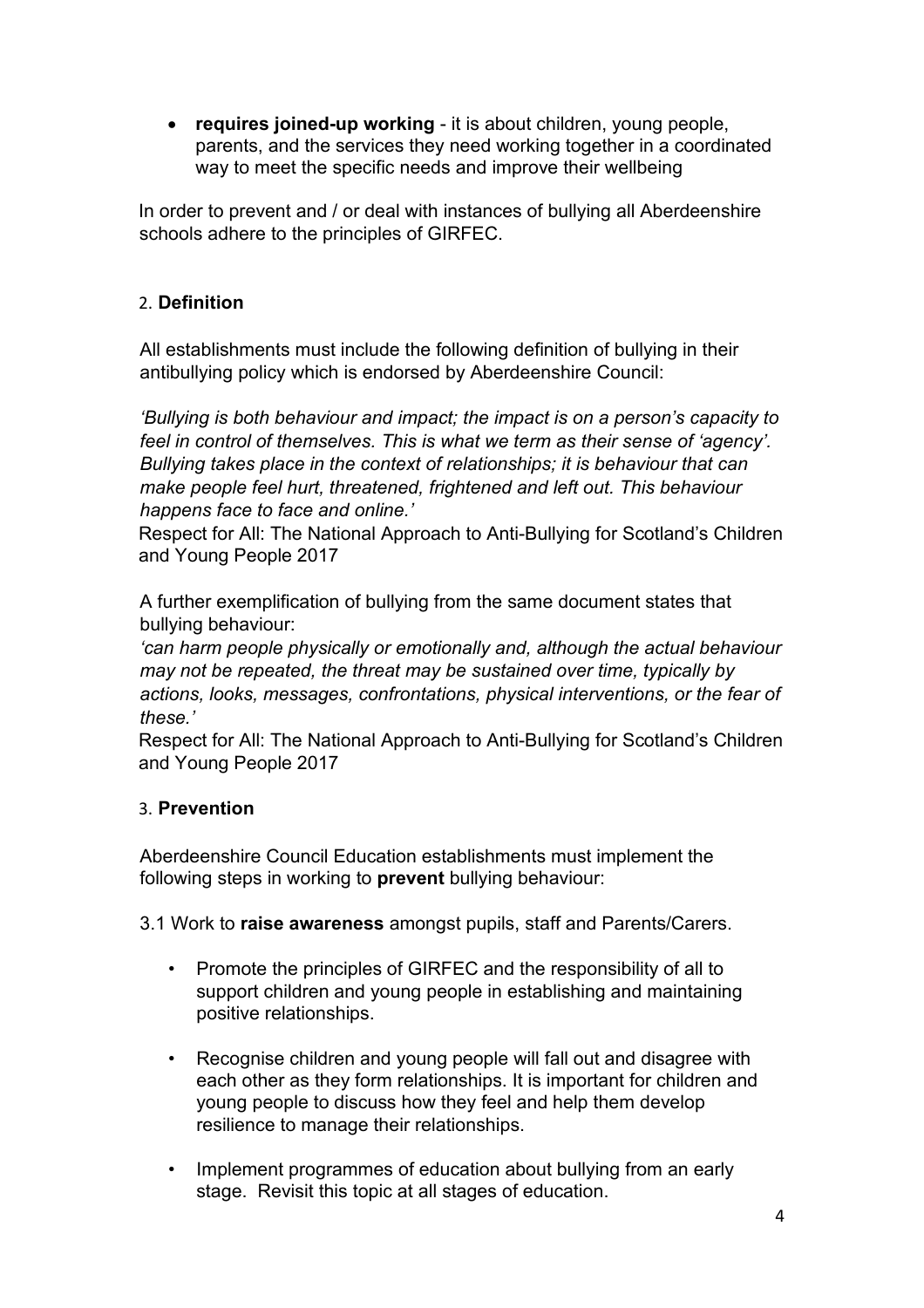• **requires joined-up working** - it is about children, young people, parents, and the services they need working together in a coordinated way to meet the specific needs and improve their wellbeing

In order to prevent and / or deal with instances of bullying all Aberdeenshire schools adhere to the principles of GIRFEC.

### 2. **Definition**

All establishments must include the following definition of bullying in their antibullying policy which is endorsed by Aberdeenshire Council:

*'Bullying is both behaviour and impact; the impact is on a person's capacity to feel in control of themselves. This is what we term as their sense of 'agency'. Bullying takes place in the context of relationships; it is behaviour that can make people feel hurt, threatened, frightened and left out. This behaviour happens face to face and online.'*

Respect for All: The National Approach to Anti-Bullying for Scotland's Children and Young People 2017

A further exemplification of bullying from the same document states that bullying behaviour:

*'can harm people physically or emotionally and, although the actual behaviour may not be repeated, the threat may be sustained over time, typically by actions, looks, messages, confrontations, physical interventions, or the fear of these.'*

Respect for All: The National Approach to Anti-Bullying for Scotland's Children and Young People 2017

#### 3. **Prevention**

Aberdeenshire Council Education establishments must implement the following steps in working to **prevent** bullying behaviour:

3.1 Work to **raise awareness** amongst pupils, staff and Parents/Carers.

- Promote the principles of GIRFEC and the responsibility of all to support children and young people in establishing and maintaining positive relationships.
- Recognise children and young people will fall out and disagree with each other as they form relationships. It is important for children and young people to discuss how they feel and help them develop resilience to manage their relationships.
- Implement programmes of education about bullying from an early stage. Revisit this topic at all stages of education.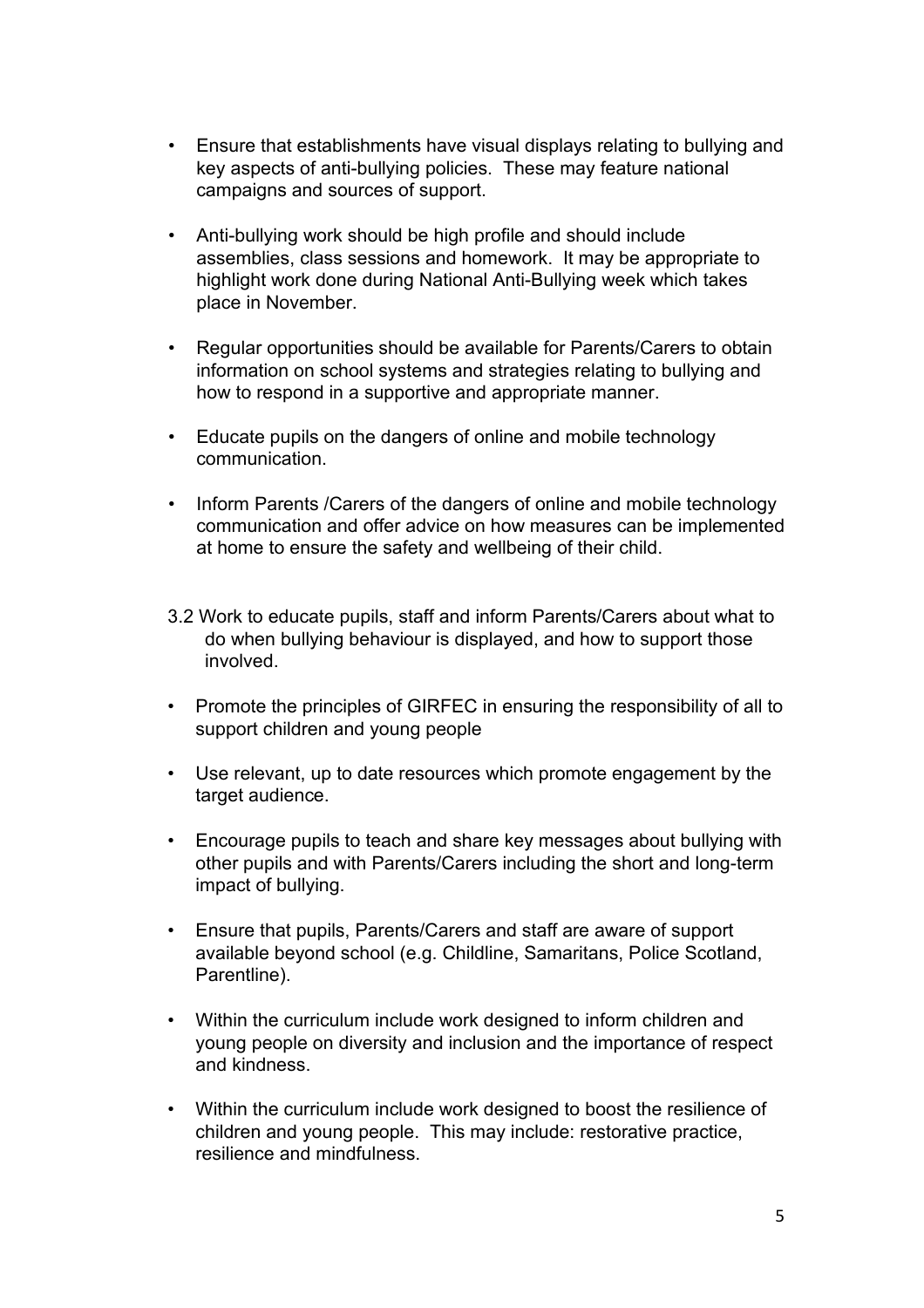- Ensure that establishments have visual displays relating to bullying and key aspects of anti-bullying policies. These may feature national campaigns and sources of support.
- Anti-bullying work should be high profile and should include assemblies, class sessions and homework. It may be appropriate to highlight work done during National Anti-Bullying week which takes place in November.
- Regular opportunities should be available for Parents/Carers to obtain information on school systems and strategies relating to bullying and how to respond in a supportive and appropriate manner.
- Educate pupils on the dangers of online and mobile technology communication.
- Inform Parents /Carers of the dangers of online and mobile technology communication and offer advice on how measures can be implemented at home to ensure the safety and wellbeing of their child.
- 3.2 Work to educate pupils, staff and inform Parents/Carers about what to do when bullying behaviour is displayed, and how to support those involved.
- Promote the principles of GIRFEC in ensuring the responsibility of all to support children and young people
- Use relevant, up to date resources which promote engagement by the target audience.
- Encourage pupils to teach and share key messages about bullying with other pupils and with Parents/Carers including the short and long-term impact of bullying.
- Ensure that pupils, Parents/Carers and staff are aware of support available beyond school (e.g. Childline, Samaritans, Police Scotland, Parentline).
- Within the curriculum include work designed to inform children and young people on diversity and inclusion and the importance of respect and kindness.
- Within the curriculum include work designed to boost the resilience of children and young people. This may include: restorative practice, resilience and mindfulness.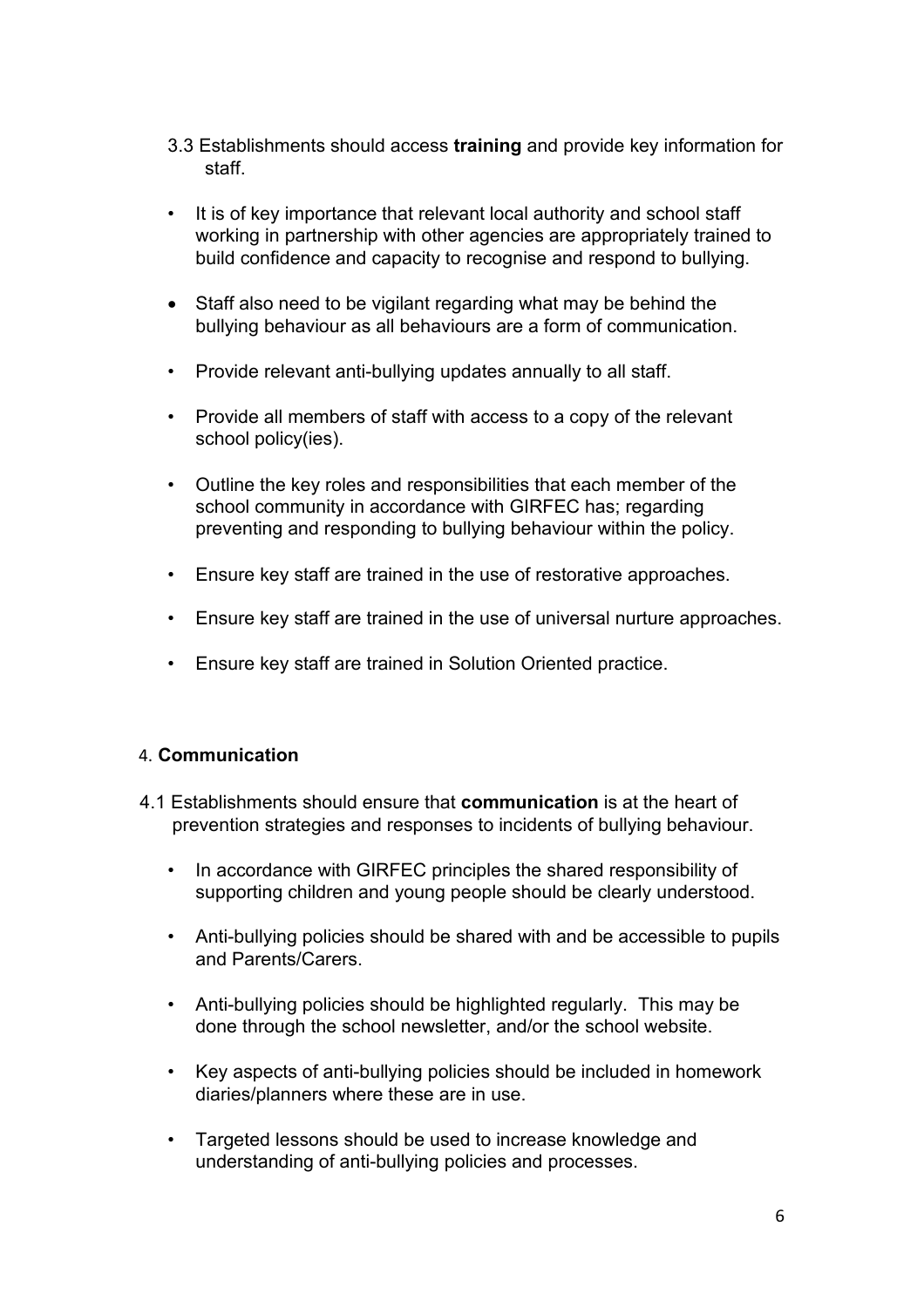- 3.3 Establishments should access **training** and provide key information for staff.
- It is of key importance that relevant local authority and school staff working in partnership with other agencies are appropriately trained to build confidence and capacity to recognise and respond to bullying.
- Staff also need to be vigilant regarding what may be behind the bullying behaviour as all behaviours are a form of communication.
- Provide relevant anti-bullying updates annually to all staff.
- Provide all members of staff with access to a copy of the relevant school policy(ies).
- Outline the key roles and responsibilities that each member of the school community in accordance with GIRFEC has; regarding preventing and responding to bullying behaviour within the policy.
- Ensure key staff are trained in the use of restorative approaches.
- Ensure key staff are trained in the use of universal nurture approaches.
- Ensure key staff are trained in Solution Oriented practice.

#### 4. **Communication**

- 4.1 Establishments should ensure that **communication** is at the heart of prevention strategies and responses to incidents of bullying behaviour.
	- In accordance with GIRFEC principles the shared responsibility of supporting children and young people should be clearly understood.
	- Anti-bullying policies should be shared with and be accessible to pupils and Parents/Carers.
	- Anti-bullying policies should be highlighted regularly. This may be done through the school newsletter, and/or the school website.
	- Key aspects of anti-bullying policies should be included in homework diaries/planners where these are in use.
	- Targeted lessons should be used to increase knowledge and understanding of anti-bullying policies and processes.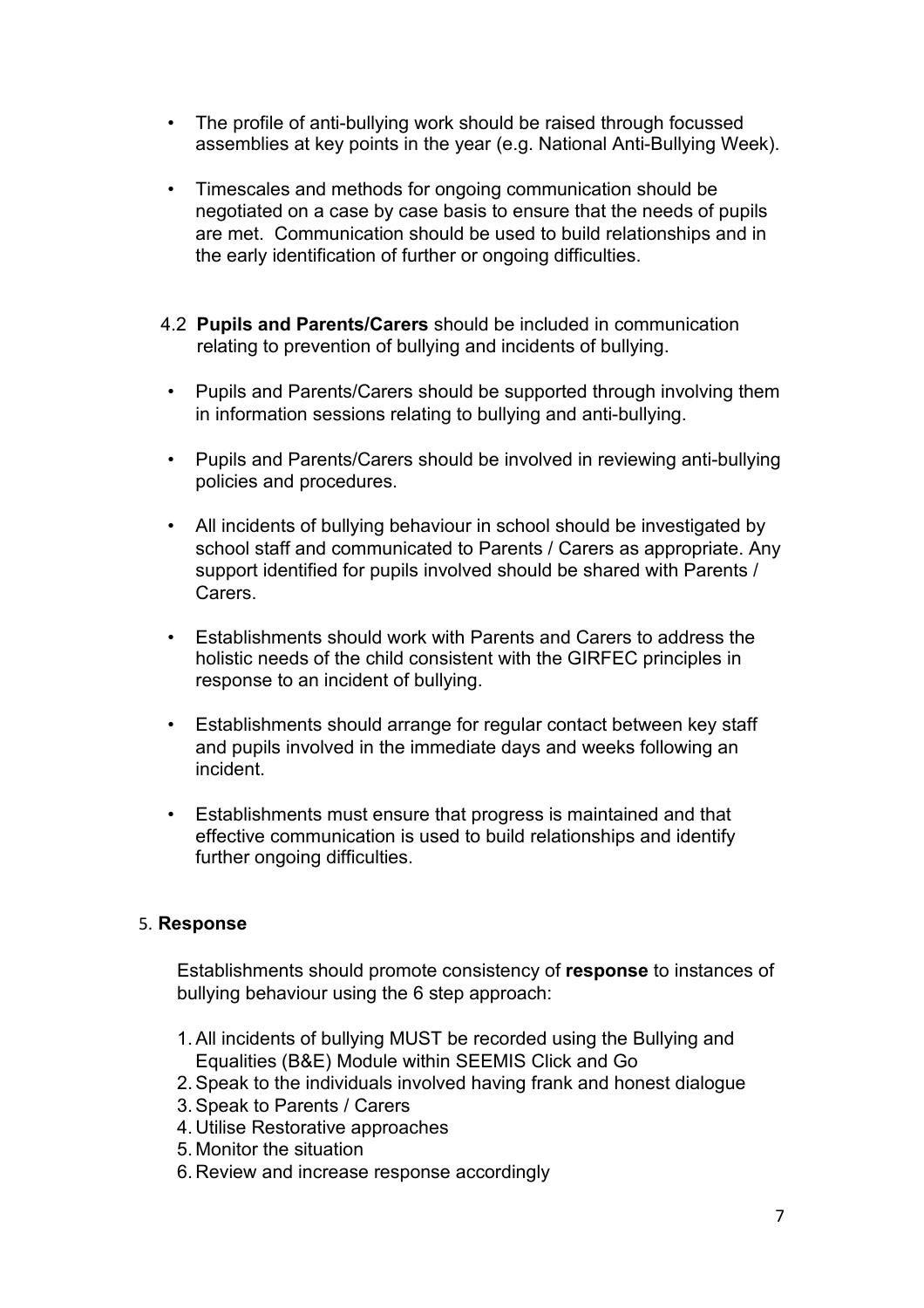- The profile of anti-bullying work should be raised through focussed assemblies at key points in the year (e.g. National Anti-Bullying Week).
- Timescales and methods for ongoing communication should be negotiated on a case by case basis to ensure that the needs of pupils are met. Communication should be used to build relationships and in the early identification of further or ongoing difficulties.
- 4.2 **Pupils and Parents/Carers** should be included in communication relating to prevention of bullying and incidents of bullying.
- Pupils and Parents/Carers should be supported through involving them in information sessions relating to bullying and anti-bullying.
- Pupils and Parents/Carers should be involved in reviewing anti-bullying policies and procedures.
- All incidents of bullying behaviour in school should be investigated by school staff and communicated to Parents / Carers as appropriate. Any support identified for pupils involved should be shared with Parents / Carers.
- Establishments should work with Parents and Carers to address the holistic needs of the child consistent with the GIRFEC principles in response to an incident of bullying.
- Establishments should arrange for regular contact between key staff and pupils involved in the immediate days and weeks following an incident.
- Establishments must ensure that progress is maintained and that effective communication is used to build relationships and identify further ongoing difficulties.

#### 5. **Response**

Establishments should promote consistency of **response** to instances of bullying behaviour using the 6 step approach:

- 1.All incidents of bullying MUST be recorded using the Bullying and Equalities (B&E) Module within SEEMIS Click and Go
- 2.Speak to the individuals involved having frank and honest dialogue
- 3.Speak to Parents / Carers
- 4. Utilise Restorative approaches
- 5. Monitor the situation
- 6. Review and increase response accordingly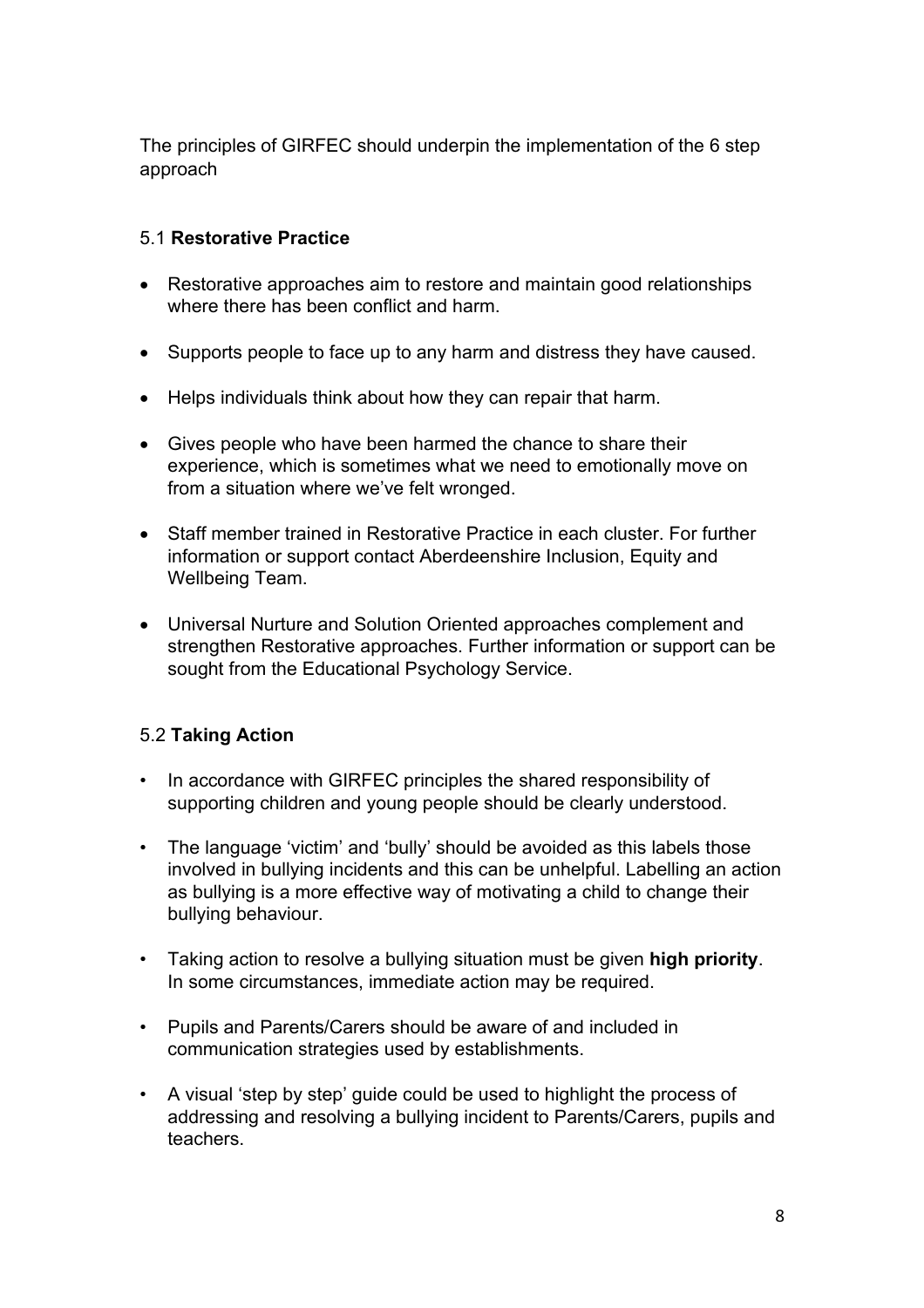The principles of GIRFEC should underpin the implementation of the 6 step approach

#### 5.1 **Restorative Practice**

- Restorative approaches aim to restore and maintain good relationships where there has been conflict and harm.
- Supports people to face up to any harm and distress they have caused.
- Helps individuals think about how they can repair that harm.
- Gives people who have been harmed the chance to share their experience, which is sometimes what we need to emotionally move on from a situation where we've felt wronged.
- Staff member trained in Restorative Practice in each cluster. For further information or support contact Aberdeenshire Inclusion, Equity and Wellbeing Team.
- Universal Nurture and Solution Oriented approaches complement and strengthen Restorative approaches. Further information or support can be sought from the Educational Psychology Service.

#### 5.2 **Taking Action**

- In accordance with GIRFEC principles the shared responsibility of supporting children and young people should be clearly understood.
- The language 'victim' and 'bully' should be avoided as this labels those involved in bullying incidents and this can be unhelpful. Labelling an action as bullying is a more effective way of motivating a child to change their bullying behaviour.
- Taking action to resolve a bullying situation must be given **high priority**. In some circumstances, immediate action may be required.
- Pupils and Parents/Carers should be aware of and included in communication strategies used by establishments.
- A visual 'step by step' guide could be used to highlight the process of addressing and resolving a bullying incident to Parents/Carers, pupils and teachers.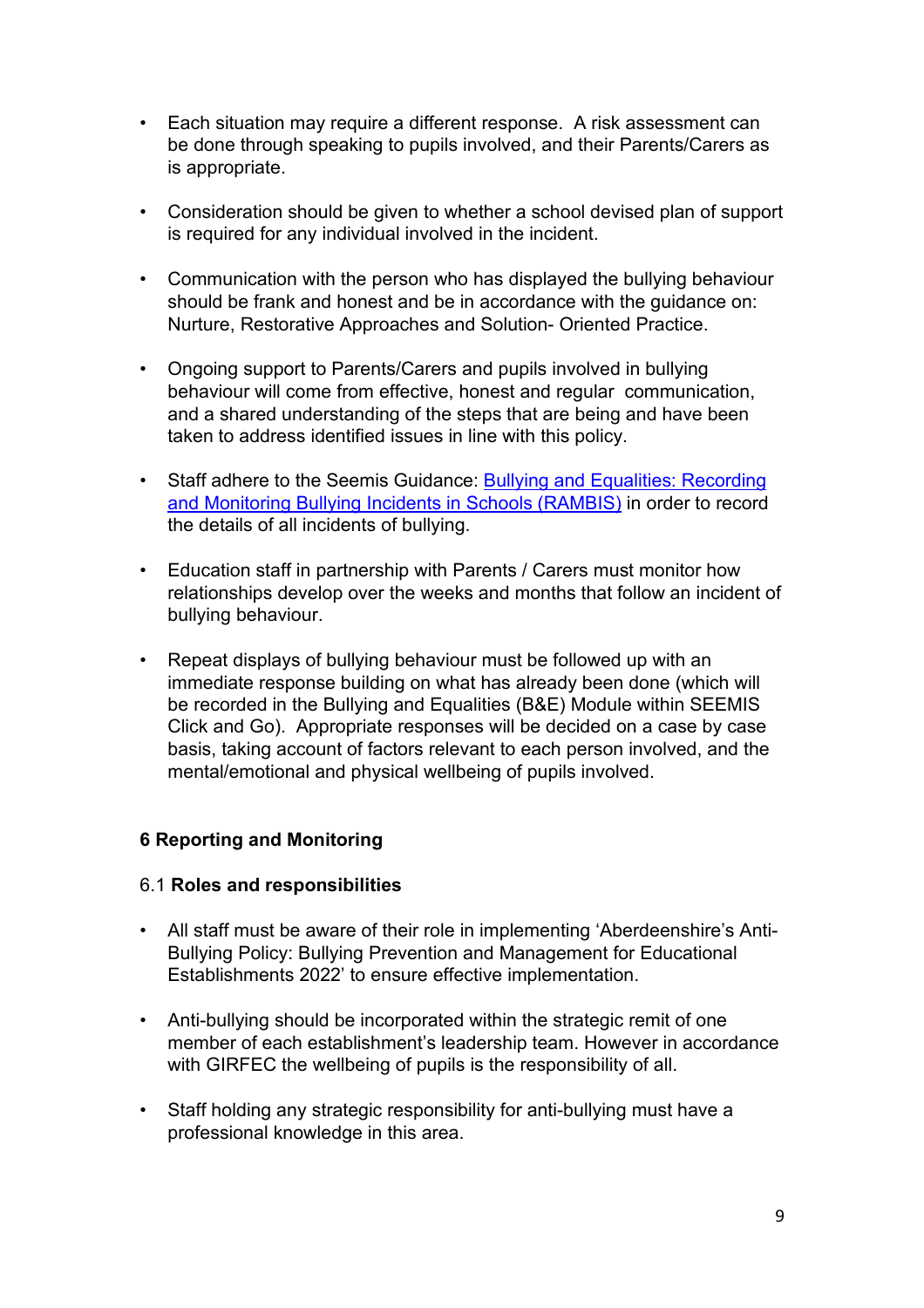- Each situation may require a different response. A risk assessment can be done through speaking to pupils involved, and their Parents/Carers as is appropriate.
- Consideration should be given to whether a school devised plan of support is required for any individual involved in the incident.
- Communication with the person who has displayed the bullying behaviour should be frank and honest and be in accordance with the guidance on: Nurture, Restorative Approaches and Solution- Oriented Practice.
- Ongoing support to Parents/Carers and pupils involved in bullying behaviour will come from effective, honest and regular communication, and a shared understanding of the steps that are being and have been taken to address identified issues in line with this policy.
- Staff adhere to the Seemis Guidance: **Bullying and Equalities: Recording** [and Monitoring Bullying Incidents in Schools \(RAMBIS\)](https://aberdeenshire.sharepoint.com/:w:/r/sites/Arcadia/services/_layouts/15/Doc.aspx?sourcedoc=%7BF97A237B-0A6E-491E-BE49-C7E43E8EDF25%7D&file=Bullying%20%26%20Equalities%20Recording%20Guidance_v1.1.docx&action=default&mobileredirect=true&DefaultItemOpen=1) in order to record the details of all incidents of bullying.
- Education staff in partnership with Parents / Carers must monitor how relationships develop over the weeks and months that follow an incident of bullying behaviour.
- Repeat displays of bullying behaviour must be followed up with an immediate response building on what has already been done (which will be recorded in the Bullying and Equalities (B&E) Module within SEEMIS Click and Go). Appropriate responses will be decided on a case by case basis, taking account of factors relevant to each person involved, and the mental/emotional and physical wellbeing of pupils involved.

#### **6 Reporting and Monitoring**

#### 6.1 **Roles and responsibilities**

- All staff must be aware of their role in implementing 'Aberdeenshire's Anti-Bullying Policy: Bullying Prevention and Management for Educational Establishments 2022' to ensure effective implementation.
- Anti-bullying should be incorporated within the strategic remit of one member of each establishment's leadership team. However in accordance with GIRFEC the wellbeing of pupils is the responsibility of all.
- Staff holding any strategic responsibility for anti-bullying must have a professional knowledge in this area.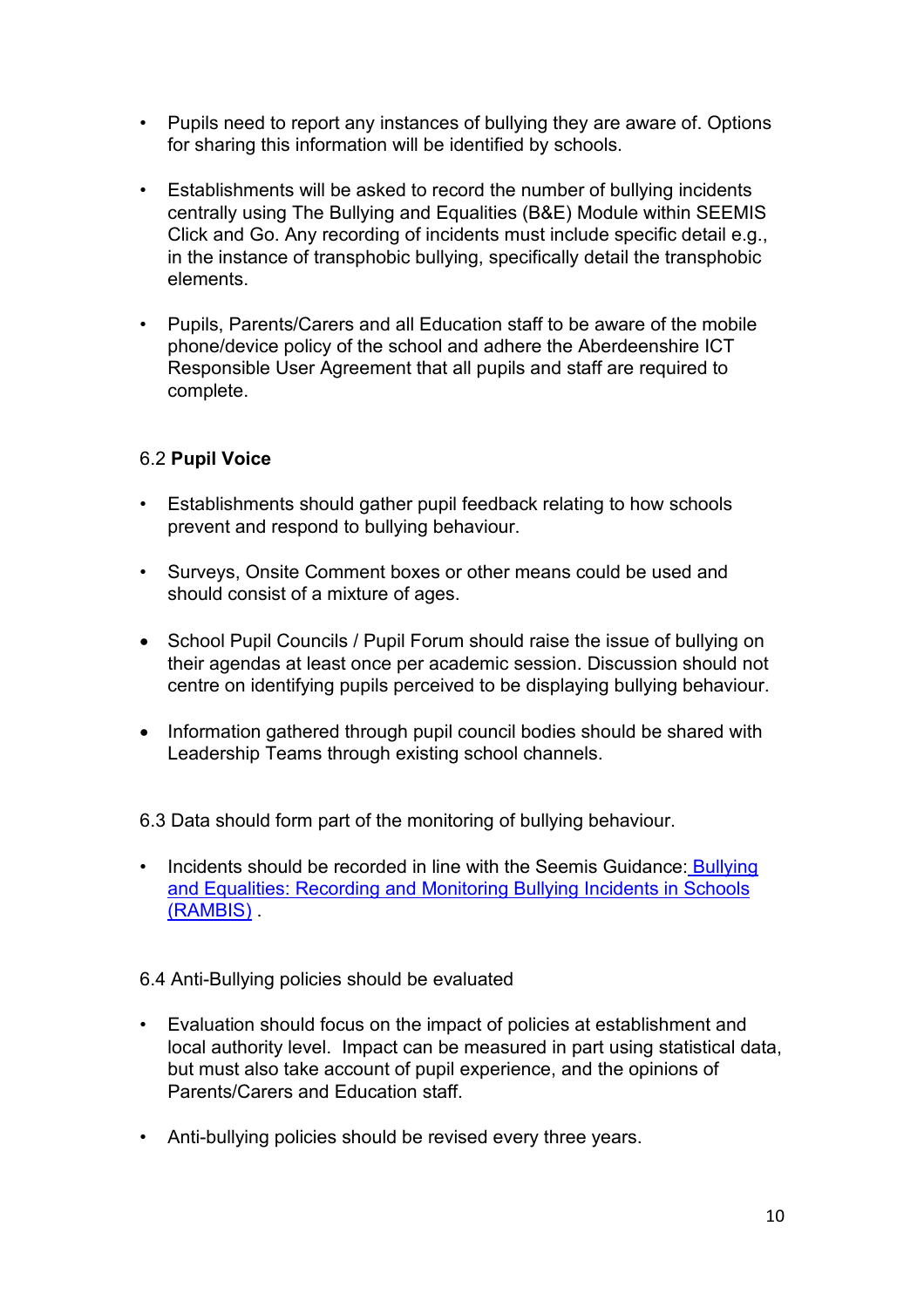- Pupils need to report any instances of bullying they are aware of. Options for sharing this information will be identified by schools.
- Establishments will be asked to record the number of bullying incidents centrally using The Bullying and Equalities (B&E) Module within SEEMIS Click and Go. Any recording of incidents must include specific detail e.g., in the instance of transphobic bullying, specifically detail the transphobic elements.
- Pupils, Parents/Carers and all Education staff to be aware of the mobile phone/device policy of the school and adhere the Aberdeenshire ICT Responsible User Agreement that all pupils and staff are required to complete.

### 6.2 **Pupil Voice**

- Establishments should gather pupil feedback relating to how schools prevent and respond to bullying behaviour.
- Surveys, Onsite Comment boxes or other means could be used and should consist of a mixture of ages.
- School Pupil Councils / Pupil Forum should raise the issue of bullying on their agendas at least once per academic session. Discussion should not centre on identifying pupils perceived to be displaying bullying behaviour.
- Information gathered through pupil council bodies should be shared with Leadership Teams through existing school channels.

6.3 Data should form part of the monitoring of bullying behaviour.

• Incidents should be recorded in line with the Seemis Guidance: Bullying [and Equalities: Recording and Monitoring Bullying Incidents in Schools](https://aberdeenshire.sharepoint.com/:w:/r/sites/Arcadia/services/_layouts/15/Doc.aspx?sourcedoc=%7BF97A237B-0A6E-491E-BE49-C7E43E8EDF25%7D&file=Bullying%20%26%20Equalities%20Recording%20Guidance_v1.1.docx&action=default&mobileredirect=true&DefaultItemOpen=1) [\(RAMBIS\)](https://aberdeenshire.sharepoint.com/:w:/r/sites/Arcadia/services/_layouts/15/Doc.aspx?sourcedoc=%7BF97A237B-0A6E-491E-BE49-C7E43E8EDF25%7D&file=Bullying%20%26%20Equalities%20Recording%20Guidance_v1.1.docx&action=default&mobileredirect=true&DefaultItemOpen=1) .

#### 6.4 Anti-Bullying policies should be evaluated

- Evaluation should focus on the impact of policies at establishment and local authority level. Impact can be measured in part using statistical data, but must also take account of pupil experience, and the opinions of Parents/Carers and Education staff.
- Anti-bullying policies should be revised every three years.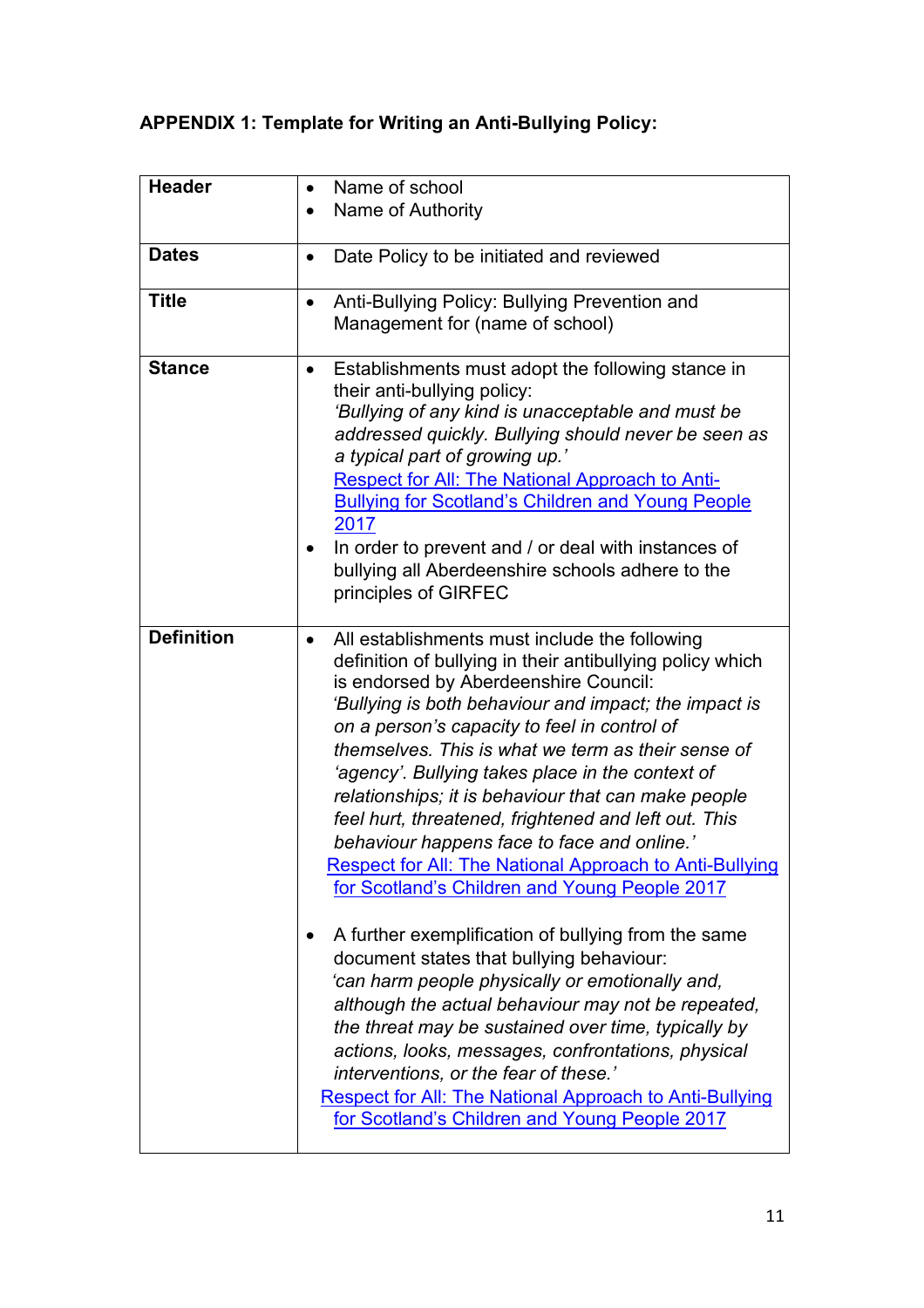### **APPENDIX 1: Template for Writing an Anti-Bullying Policy:**

| <b>Header</b>     | Name of school<br>$\bullet$                                                                                                                                                                                                                                                                                                                                                                                                                                                                                                                                                                                                                                                                                                                                                                                                                                                                                                                                                                                                                                                                                                           |
|-------------------|---------------------------------------------------------------------------------------------------------------------------------------------------------------------------------------------------------------------------------------------------------------------------------------------------------------------------------------------------------------------------------------------------------------------------------------------------------------------------------------------------------------------------------------------------------------------------------------------------------------------------------------------------------------------------------------------------------------------------------------------------------------------------------------------------------------------------------------------------------------------------------------------------------------------------------------------------------------------------------------------------------------------------------------------------------------------------------------------------------------------------------------|
|                   | Name of Authority                                                                                                                                                                                                                                                                                                                                                                                                                                                                                                                                                                                                                                                                                                                                                                                                                                                                                                                                                                                                                                                                                                                     |
|                   |                                                                                                                                                                                                                                                                                                                                                                                                                                                                                                                                                                                                                                                                                                                                                                                                                                                                                                                                                                                                                                                                                                                                       |
| <b>Dates</b>      | Date Policy to be initiated and reviewed<br>$\bullet$                                                                                                                                                                                                                                                                                                                                                                                                                                                                                                                                                                                                                                                                                                                                                                                                                                                                                                                                                                                                                                                                                 |
| <b>Title</b>      | Anti-Bullying Policy: Bullying Prevention and<br>$\bullet$<br>Management for (name of school)                                                                                                                                                                                                                                                                                                                                                                                                                                                                                                                                                                                                                                                                                                                                                                                                                                                                                                                                                                                                                                         |
| <b>Stance</b>     | Establishments must adopt the following stance in<br>$\bullet$<br>their anti-bullying policy:<br>'Bullying of any kind is unacceptable and must be<br>addressed quickly. Bullying should never be seen as<br>a typical part of growing up.'<br><b>Respect for All: The National Approach to Anti-</b><br><b>Bullying for Scotland's Children and Young People</b><br>2017<br>In order to prevent and / or deal with instances of<br>bullying all Aberdeenshire schools adhere to the<br>principles of GIRFEC                                                                                                                                                                                                                                                                                                                                                                                                                                                                                                                                                                                                                          |
| <b>Definition</b> | All establishments must include the following<br>definition of bullying in their antibullying policy which<br>is endorsed by Aberdeenshire Council:<br>'Bullying is both behaviour and impact; the impact is<br>on a person's capacity to feel in control of<br>themselves. This is what we term as their sense of<br>'agency'. Bullying takes place in the context of<br>relationships; it is behaviour that can make people<br>feel hurt, threatened, frightened and left out. This<br>behaviour happens face to face and online.'<br>Respect for All: The National Approach to Anti-Bullying<br>for Scotland's Children and Young People 2017<br>A further exemplification of bullying from the same<br>document states that bullying behaviour:<br>'can harm people physically or emotionally and,<br>although the actual behaviour may not be repeated,<br>the threat may be sustained over time, typically by<br>actions, looks, messages, confrontations, physical<br>interventions, or the fear of these.'<br><b>Respect for All: The National Approach to Anti-Bullying</b><br>for Scotland's Children and Young People 2017 |